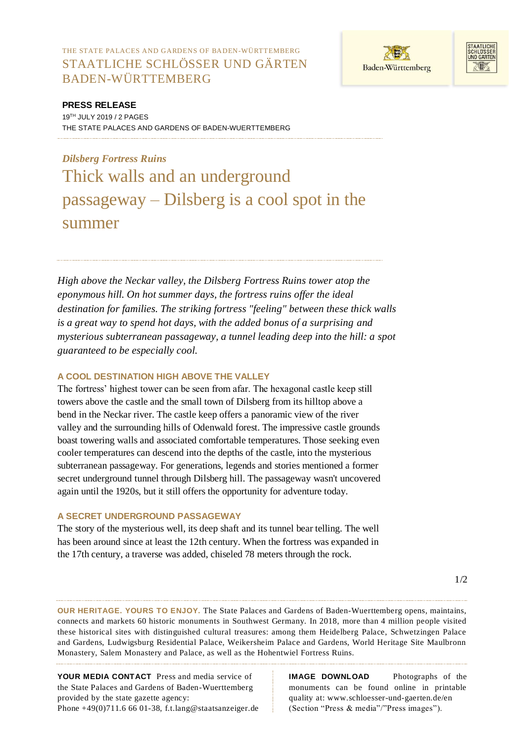THE STATE PALACES AND GARDENS OF BADEN-WÜRTTEMBERG STAATLICHE SCHLÖSSER UND GÄRTEN BADEN-WÜRTTEMBERG





**PRESS RELEASE** 19 TH JULY 2019 / 2 PAGES THE STATE PALACES AND GARDENS OF BADEN-WUERTTEMBERG

# *Dilsberg Fortress Ruins*  Thick walls and an underground passageway – Dilsberg is a cool spot in the summer

*High above the Neckar valley, the Dilsberg Fortress Ruins tower atop the eponymous hill. On hot summer days, the fortress ruins offer the ideal destination for families. The striking fortress "feeling" between these thick walls is a great way to spend hot days, with the added bonus of a surprising and mysterious subterranean passageway, a tunnel leading deep into the hill: a spot guaranteed to be especially cool.* 

## **A COOL DESTINATION HIGH ABOVE THE VALLEY**

The fortress' highest tower can be seen from afar. The hexagonal castle keep still towers above the castle and the small town of Dilsberg from its hilltop above a bend in the Neckar river. The castle keep offers a panoramic view of the river valley and the surrounding hills of Odenwald forest. The impressive castle grounds boast towering walls and associated comfortable temperatures. Those seeking even cooler temperatures can descend into the depths of the castle, into the mysterious subterranean passageway. For generations, legends and stories mentioned a former secret underground tunnel through Dilsberg hill. The passageway wasn't uncovered again until the 1920s, but it still offers the opportunity for adventure today.

#### **A SECRET UNDERGROUND PASSAGEWAY**

The story of the mysterious well, its deep shaft and its tunnel bear telling. The well has been around since at least the 12th century. When the fortress was expanded in the 17th century, a traverse was added, chiseled 78 meters through the rock.

**OUR HERITAGE. YOURS TO ENJOY.** The State Palaces and Gardens of Baden-Wuerttemberg opens, maintains, connects and markets 60 historic monuments in Southwest Germany. In 2018, more than 4 million people visited these historical sites with distinguished cultural treasures: among them Heidelberg Palace, Schwetzingen Palace and Gardens, Ludwigsburg Residential Palace, Weikersheim Palace and Gardens, World Heritage Site Maulbronn Monastery, Salem Monastery and Palace, as well as the Hohentwiel Fortress Ruins.

**YOUR MEDIA CONTACT** Press and media service of the State Palaces and Gardens of Baden-Wuerttemberg provided by the state gazette agency: Phone +49(0)711.6 66 01-38, f.t.lang@staatsanzeiger.de

**IMAGE DOWNLOAD** Photographs of the monuments can be found online in printable quality at: www.schloesser-und-gaerten.de/en (Section "Press & media"/"Press images").